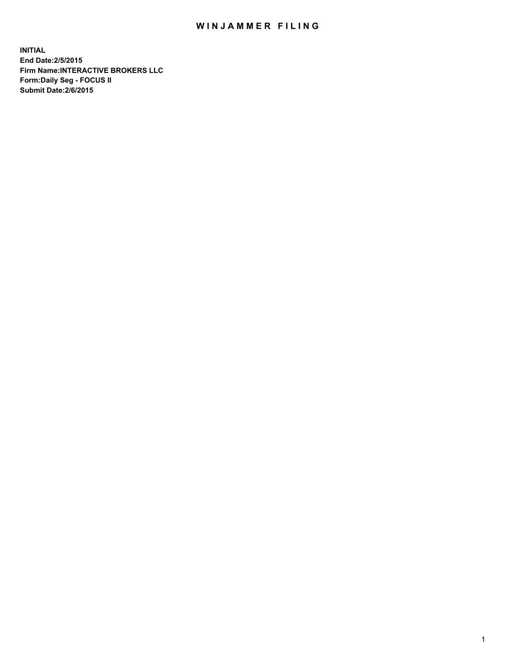## WIN JAMMER FILING

**INITIAL End Date:2/5/2015 Firm Name:INTERACTIVE BROKERS LLC Form:Daily Seg - FOCUS II Submit Date:2/6/2015**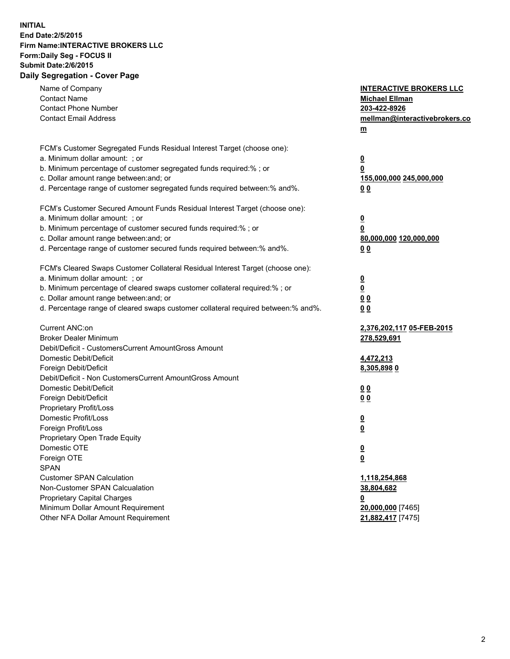## **INITIAL End Date:2/5/2015 Firm Name:INTERACTIVE BROKERS LLC Form:Daily Seg - FOCUS II Submit Date:2/6/2015 Daily Segregation - Cover Page**

| Name of Company<br><b>Contact Name</b>                                            | <b>INTERACTIVE BROKERS LLC</b><br><b>Michael Ellman</b> |
|-----------------------------------------------------------------------------------|---------------------------------------------------------|
| <b>Contact Phone Number</b>                                                       | 203-422-8926                                            |
| <b>Contact Email Address</b>                                                      | mellman@interactivebrokers.co                           |
|                                                                                   |                                                         |
|                                                                                   | $\underline{\mathbf{m}}$                                |
| FCM's Customer Segregated Funds Residual Interest Target (choose one):            |                                                         |
| a. Minimum dollar amount: ; or                                                    | $\overline{\mathbf{0}}$                                 |
| b. Minimum percentage of customer segregated funds required:% ; or                | 0                                                       |
| c. Dollar amount range between: and; or                                           | 155,000,000 245,000,000                                 |
| d. Percentage range of customer segregated funds required between:% and%.         | 00                                                      |
| FCM's Customer Secured Amount Funds Residual Interest Target (choose one):        |                                                         |
| a. Minimum dollar amount: ; or                                                    | $\overline{\mathbf{0}}$                                 |
| b. Minimum percentage of customer secured funds required:% ; or                   | 0                                                       |
| c. Dollar amount range between: and; or                                           | 80,000,000 120,000,000                                  |
| d. Percentage range of customer secured funds required between:% and%.            | 00                                                      |
|                                                                                   |                                                         |
| FCM's Cleared Swaps Customer Collateral Residual Interest Target (choose one):    |                                                         |
| a. Minimum dollar amount: ; or                                                    | $\overline{\mathbf{0}}$                                 |
| b. Minimum percentage of cleared swaps customer collateral required:% ; or        | $\underline{\mathbf{0}}$                                |
| c. Dollar amount range between: and; or                                           | 0 <sub>0</sub>                                          |
| d. Percentage range of cleared swaps customer collateral required between:% and%. | 0 <sub>0</sub>                                          |
|                                                                                   |                                                         |
| Current ANC:on                                                                    | 2,376,202,117 05-FEB-2015                               |
| <b>Broker Dealer Minimum</b>                                                      | 278,529,691                                             |
| Debit/Deficit - CustomersCurrent AmountGross Amount                               |                                                         |
| Domestic Debit/Deficit                                                            | 4,472,213                                               |
| Foreign Debit/Deficit                                                             | 8,305,8980                                              |
| Debit/Deficit - Non CustomersCurrent AmountGross Amount                           |                                                         |
| Domestic Debit/Deficit                                                            | 0 <sub>0</sub>                                          |
| Foreign Debit/Deficit                                                             | 0 <sub>0</sub>                                          |
| Proprietary Profit/Loss                                                           |                                                         |
| Domestic Profit/Loss                                                              | $\overline{\mathbf{0}}$                                 |
| Foreign Profit/Loss                                                               | $\underline{\mathbf{0}}$                                |
| Proprietary Open Trade Equity<br>Domestic OTE                                     |                                                         |
|                                                                                   | <u>0</u>                                                |
| Foreign OTE                                                                       | <u>0</u>                                                |
| <b>SPAN</b><br><b>Customer SPAN Calculation</b>                                   |                                                         |
| Non-Customer SPAN Calcualation                                                    | 1,118,254,868                                           |
| <b>Proprietary Capital Charges</b>                                                | 38,804,682                                              |
| Minimum Dollar Amount Requirement                                                 | <u>0</u><br>20,000,000 [7465]                           |
| Other NFA Dollar Amount Requirement                                               | 21,882,417 [7475]                                       |
|                                                                                   |                                                         |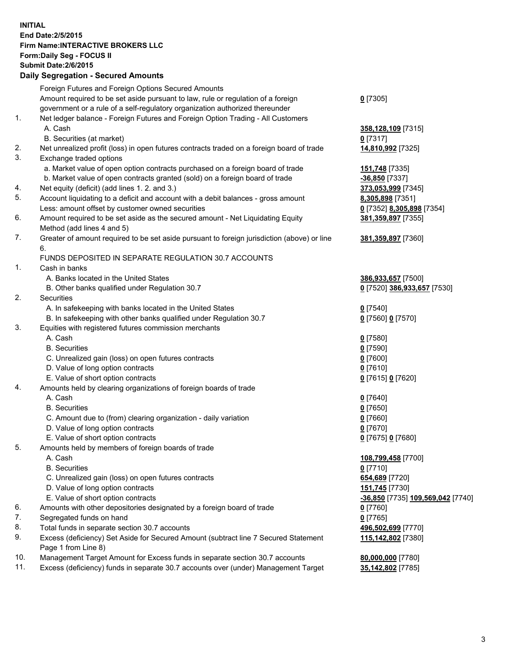## **INITIAL End Date:2/5/2015 Firm Name:INTERACTIVE BROKERS LLC Form:Daily Seg - FOCUS II Submit Date:2/6/2015 Daily Segregation - Secured Amounts**

|     | Dany Ocgregation - Oceanea Annoanta                                                                        |                                   |
|-----|------------------------------------------------------------------------------------------------------------|-----------------------------------|
|     | Foreign Futures and Foreign Options Secured Amounts                                                        |                                   |
|     | Amount required to be set aside pursuant to law, rule or regulation of a foreign                           | $0$ [7305]                        |
|     | government or a rule of a self-regulatory organization authorized thereunder                               |                                   |
| 1.  | Net ledger balance - Foreign Futures and Foreign Option Trading - All Customers                            |                                   |
|     | A. Cash                                                                                                    | 358,128,109 [7315]                |
|     | B. Securities (at market)                                                                                  | $0$ [7317]                        |
| 2.  | Net unrealized profit (loss) in open futures contracts traded on a foreign board of trade                  | 14,810,992 [7325]                 |
| 3.  | Exchange traded options                                                                                    |                                   |
|     | a. Market value of open option contracts purchased on a foreign board of trade                             | 151,748 [7335]                    |
|     | b. Market value of open contracts granted (sold) on a foreign board of trade                               | -36,850 [7337]                    |
| 4.  | Net equity (deficit) (add lines 1.2. and 3.)                                                               | 373,053,999 [7345]                |
| 5.  | Account liquidating to a deficit and account with a debit balances - gross amount                          | 8,305,898 [7351]                  |
|     | Less: amount offset by customer owned securities                                                           | 0 [7352] 8,305,898 [7354]         |
| 6.  | Amount required to be set aside as the secured amount - Net Liquidating Equity                             | 381, 359, 897 [7355]              |
|     | Method (add lines 4 and 5)                                                                                 |                                   |
| 7.  | Greater of amount required to be set aside pursuant to foreign jurisdiction (above) or line                | 381,359,897 [7360]                |
|     | 6.                                                                                                         |                                   |
|     | FUNDS DEPOSITED IN SEPARATE REGULATION 30.7 ACCOUNTS                                                       |                                   |
| 1.  | Cash in banks                                                                                              |                                   |
|     | A. Banks located in the United States                                                                      | 386,933,657 [7500]                |
|     | B. Other banks qualified under Regulation 30.7                                                             | 0 [7520] 386,933,657 [7530]       |
| 2.  | Securities                                                                                                 |                                   |
|     | A. In safekeeping with banks located in the United States                                                  | $0$ [7540]                        |
|     | B. In safekeeping with other banks qualified under Regulation 30.7                                         | 0 [7560] 0 [7570]                 |
| 3.  | Equities with registered futures commission merchants                                                      |                                   |
|     | A. Cash                                                                                                    | $0$ [7580]                        |
|     | <b>B.</b> Securities                                                                                       | $0$ [7590]                        |
|     | C. Unrealized gain (loss) on open futures contracts                                                        | $0$ [7600]                        |
|     | D. Value of long option contracts                                                                          | $0$ [7610]                        |
|     | E. Value of short option contracts                                                                         | 0 [7615] 0 [7620]                 |
| 4.  | Amounts held by clearing organizations of foreign boards of trade                                          |                                   |
|     | A. Cash                                                                                                    | $0$ [7640]                        |
|     | <b>B.</b> Securities                                                                                       | $0$ [7650]                        |
|     | C. Amount due to (from) clearing organization - daily variation                                            | $0$ [7660]                        |
|     | D. Value of long option contracts                                                                          | $0$ [7670]                        |
|     | E. Value of short option contracts                                                                         | 0 [7675] 0 [7680]                 |
| 5.  | Amounts held by members of foreign boards of trade                                                         |                                   |
|     | A. Cash                                                                                                    | 108,799,458 [7700]                |
|     | <b>B.</b> Securities                                                                                       | $0$ [7710]                        |
|     | C. Unrealized gain (loss) on open futures contracts                                                        | 654,689 [7720]                    |
|     | D. Value of long option contracts                                                                          | 151,745 [7730]                    |
|     | E. Value of short option contracts                                                                         | -36,850 [7735] 109,569,042 [7740] |
| 6.  | Amounts with other depositories designated by a foreign board of trade                                     | $0$ [7760]                        |
| 7.  | Segregated funds on hand                                                                                   | $0$ [7765]                        |
| 8.  | Total funds in separate section 30.7 accounts                                                              | 496,502,699 [7770]                |
| 9.  | Excess (deficiency) Set Aside for Secured Amount (subtract line 7 Secured Statement<br>Page 1 from Line 8) | 115,142,802 [7380]                |
| 10. | Management Target Amount for Excess funds in separate section 30.7 accounts                                | 80,000,000 [7780]                 |
| 11. | Excess (deficiency) funds in separate 30.7 accounts over (under) Management Target                         | <u>35,142,802</u> [7785]          |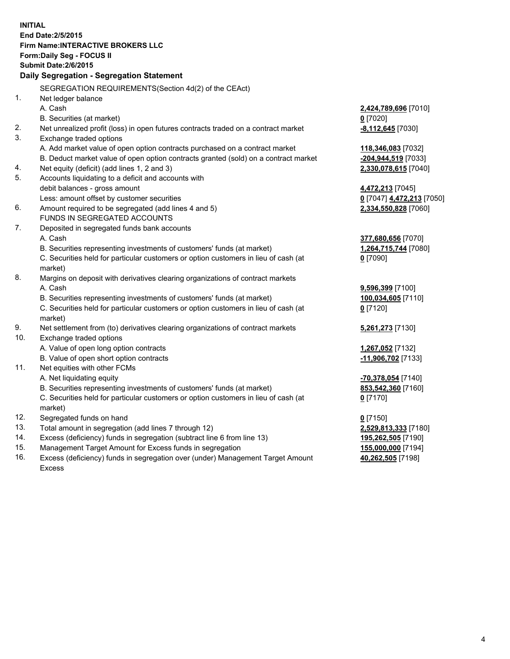**INITIAL End Date:2/5/2015 Firm Name:INTERACTIVE BROKERS LLC Form:Daily Seg - FOCUS II Submit Date:2/6/2015 Daily Segregation - Segregation Statement** SEGREGATION REQUIREMENTS(Section 4d(2) of the CEAct) 1. Net ledger balance A. Cash **2,424,789,696** [7010] B. Securities (at market) **0** [7020] 2. Net unrealized profit (loss) in open futures contracts traded on a contract market **-8,112,645** [7030] 3. Exchange traded options A. Add market value of open option contracts purchased on a contract market **118,346,083** [7032] B. Deduct market value of open option contracts granted (sold) on a contract market **-204,944,519** [7033] 4. Net equity (deficit) (add lines 1, 2 and 3) **2,330,078,615** [7040] 5. Accounts liquidating to a deficit and accounts with debit balances - gross amount **4,472,213** [7045] Less: amount offset by customer securities **0** [7047] **4,472,213** [7050] 6. Amount required to be segregated (add lines 4 and 5) **2,334,550,828** [7060] FUNDS IN SEGREGATED ACCOUNTS 7. Deposited in segregated funds bank accounts A. Cash **377,680,656** [7070] B. Securities representing investments of customers' funds (at market) **1,264,715,744** [7080] C. Securities held for particular customers or option customers in lieu of cash (at market) **0** [7090] 8. Margins on deposit with derivatives clearing organizations of contract markets A. Cash **9,596,399** [7100] B. Securities representing investments of customers' funds (at market) **100,034,605** [7110] C. Securities held for particular customers or option customers in lieu of cash (at market) **0** [7120] 9. Net settlement from (to) derivatives clearing organizations of contract markets **5,261,273** [7130] 10. Exchange traded options A. Value of open long option contracts **1,267,052** [7132] B. Value of open short option contracts **-11,906,702** [7133] 11. Net equities with other FCMs A. Net liquidating equity **-70,378,054** [7140] B. Securities representing investments of customers' funds (at market) **853,542,360** [7160] C. Securities held for particular customers or option customers in lieu of cash (at market) **0** [7170] 12. Segregated funds on hand **0** [7150] 13. Total amount in segregation (add lines 7 through 12) **2,529,813,333** [7180] 14. Excess (deficiency) funds in segregation (subtract line 6 from line 13) **195,262,505** [7190] 15. Management Target Amount for Excess funds in segregation **155,000,000** [7194]

16. Excess (deficiency) funds in segregation over (under) Management Target Amount Excess

**40,262,505** [7198]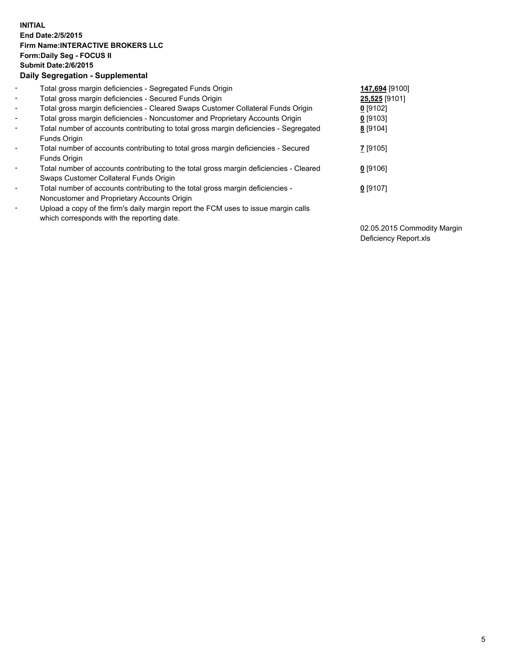## **INITIAL End Date:2/5/2015 Firm Name:INTERACTIVE BROKERS LLC Form:Daily Seg - FOCUS II Submit Date:2/6/2015 Daily Segregation - Supplemental**

| $\blacksquare$ | Total gross margin deficiencies - Segregated Funds Origin                              | 147,694 [9100] |
|----------------|----------------------------------------------------------------------------------------|----------------|
| $\blacksquare$ | Total gross margin deficiencies - Secured Funds Origin                                 | 25,525 [9101]  |
| $\blacksquare$ | Total gross margin deficiencies - Cleared Swaps Customer Collateral Funds Origin       | 0 [9102]       |
| $\blacksquare$ | Total gross margin deficiencies - Noncustomer and Proprietary Accounts Origin          | $0$ [9103]     |
| $\blacksquare$ | Total number of accounts contributing to total gross margin deficiencies - Segregated  | 8 [9104]       |
|                | Funds Origin                                                                           |                |
| $\blacksquare$ | Total number of accounts contributing to total gross margin deficiencies - Secured     | $Z$ [9105]     |
|                | Funds Origin                                                                           |                |
| ۰              | Total number of accounts contributing to the total gross margin deficiencies - Cleared | $0$ [9106]     |
|                | Swaps Customer Collateral Funds Origin                                                 |                |
| $\blacksquare$ | Total number of accounts contributing to the total gross margin deficiencies -         | $0$ [9107]     |
|                | Noncustomer and Proprietary Accounts Origin                                            |                |
| Ξ.             | Upload a copy of the firm's daily margin report the FCM uses to issue margin calls     |                |
|                | which corresponds with the reporting date.                                             |                |

02.05.2015 Commodity Margin Deficiency Report.xls